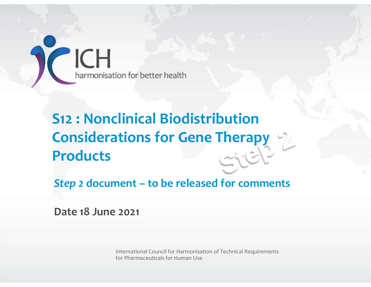

# Framonisation for better health<br>
Step 2 : Nonclinical Biodistribution<br>
Considerations for Gene Therapy<br>
Products<br>
Step 2 document – to be released for comments<br>
Date 18 June 2021 **S12 : Nonclinical Biodistribu<br>Considerations for Gene The<br>Products<br>Step 2 document – to be released for<br>Date 18 June 2021** S12 : Nonclinical Biodistribution Considerations for Gene Therapy Products

International Council for Harmonisation of Technical Requirements for Pharmaceuticals for Human Use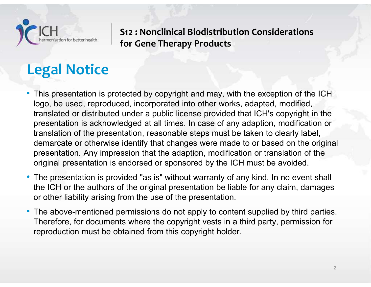

# Legal Notice

- This presentation is protected by copyright and may, with the exception of the ICH logo, be used, reproduced, incorporated into other works, adapted, modified, translated or distributed under a public license provided that ICH's copyright in the presentation is acknowledged at all times. In case of any adaption, modification or translation of the presentation, reasonable steps must be taken to clearly label, demarcate or otherwise identify that changes were made to or based on the original presentation. Any impression that the adaption, modification or translation of the original presentation is endorsed or sponsored by the ICH must be avoided.
- The presentation is provided "as is" without warranty of any kind. In no event shall the ICH or the authors of the original presentation be liable for any claim, damages or other liability arising from the use of the presentation.
- The above-mentioned permissions do not apply to content supplied by third parties. Therefore, for documents where the copyright vests in a third party, permission for reproduction must be obtained from this copyright holder.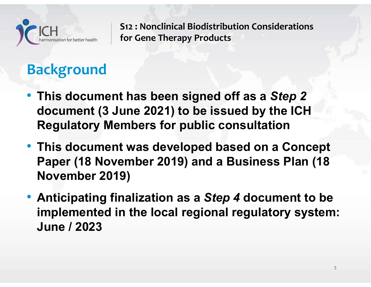

# Background

- This document has been signed off as a Step 2 document (3 June 2021) to be issued by the ICH Regulatory Members for public consultation
- This document was developed based on a Concept Paper (18 November 2019) and a Business Plan (18 November 2019)
- Anticipating finalization as a Step 4 document to be implemented in the local regional regulatory system: June / 2023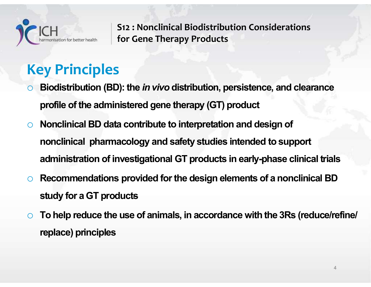

# Key Principles

- Biodistribution (BD): the in vivo distribution, persistence, and clearance profile of the administered gene therapy (GT) product
- <sup>o</sup> Nonclinical BD data contribute to interpretation and design of S12 : Nonclinical Biodistribution Considerations<br>
and S12 : Nonclinical Biodistribution Considerations<br> **armacology Principles**<br>
Biodistribution (BD): the *in vivo* distribution, persistence, and clearance<br>
profile of the and Form of the Finance of France Constants and the set of the administered gene therapy (GT) product<br>profile of the administered gene therapy (GT) product<br>Nonclinical BD data contribute to interpretation and design of<br>non **Key Principles**<br>
○ Biodistribution (BD): the *in vivo* distribution, persistence, and clearance<br>
profile of the administered gene therapy (GT) product<br>
○ Nonclinical BD data contribute to interpretation and design of<br>
no Biodistribution (BD): the *in vivo* distribution, pers<br>profile of the administered gene therapy (GT) pro<br>Nonclinical BD data contribute to interpretation a<br>nonclinical pharmacology and safety studies int<br>administration of profile of the administered gene therapy (GT) product<br>
O Nonclinical BD data contribute to interpretation and design of<br>
nonclinical pharmacology and safety studies intended to support<br>
administration of investigational GT
- 
- replace) principles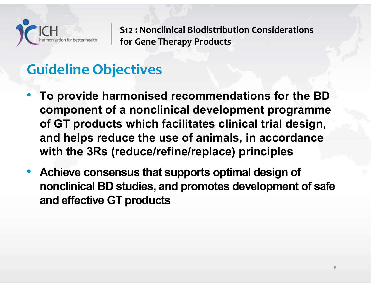

# Guideline Objectives

- To provide harmonised recommendations for the BD<br>• To provide harmonised recommendations for the BD<br>• To provide harmonised recommendations for the BD<br>• To provide harmonised recommendations for the BD<br>• of GT products w component of a nonclinical development programme ICH<br>
S12 : Nonclinical Biodistribution Considerations<br>
for Gene Therapy Products<br> **To provide harmonised recommendations for the BD**<br> **Component of a nonclinical development programme**<br>
of GT products which facilitates cli 1982 : Nonclinical Biodistribution Considerations<br>
1984 of Green Therapy Products<br>
1994 **Julian Component of a nonclinical development programme**<br>
1995 of GT products which facilitates clinical trial design,<br>
1997 and help with the 3Rs (reduce/refine/replace) principles **Guideline Objectives**<br>• To provide harmonised recommendations for the BD<br>component of a nonclinical development programme<br>of GT products which facilitates clinical trial design,<br>and helps reduce the use of animals, in acc **Indeline Objectives**<br>To provide harmonised recommendations for the BD<br>component of a nonclinical development programme<br>of GT products which facilitates clinical trial design,<br>and helps reduce the use of animals, in accord
- and effective GT products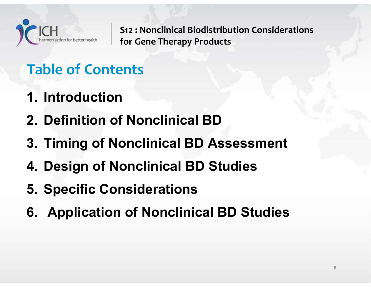

2. CH<br>
2. Definition of Nonclinical Biodistribution Considerations<br>
2. Definition of Nonclinical BD<br>
3. Timing of Nonclinical BD<br>
4. Signal BD<br>
3. Timing of Nonclinical BD<br>
4. Signal BD<br>
4. Signal BD<br>
4. Signal BD<br>
4. Sign 312 : Nonclinical Biodistribution Considerations<br>3. Table of Contents<br>3. Timing of Nonclinical BD<br>3. Timing of Nonclinical BD Assessment<br>4. Design of Nonclinical BD Studies S12 : Nonclinical Biodistribution Considerations for Gene Therapy Products

# Table of Contents

- 
- 1. Introduction
- Table of Contents<br>1. Introduction<br>2. Definition of Nonclinical BD<br>3. Timing of Nonclinical BD Assessment<br>4. Design of Nonclinical BD Studies<br>5. Specific Considerations 1 Introduction<br>1. Introduction<br>2. Definition of Nonclinical BD<br>3. Timing of Nonclinical BD Assessme<br>4. Design of Nonclinical BD Studies<br>5. Specific Considerations<br>6. Application of Nonclinical BD Studies 1. Introduction<br>2. Definition of Nonclinical BD<br>3. Timing of Nonclinical BD Assessment<br>4. Design of Nonclinical BD Studies<br>5. Specific Considerations<br>6. Application of Nonclinical BD Studies
- 
- 
-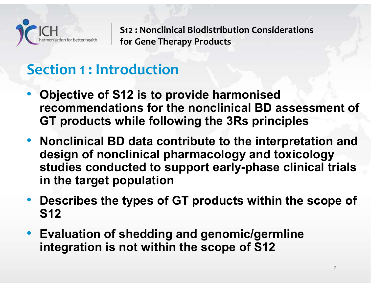

# Section 1 : Introduction

- Objective of S12 is to provide harmonised recommendations for the nonclinical BD assessment of ICH<br>
S12 : Nonclinical Biodistribution Considerations<br>
for Gene Therapy Products<br> **Considerations**<br> **Consideration**<br> **Consideration**<br> **Consideration**<br> **Considerations**<br> **Considerations**<br> **Consideration**<br> **Consideration**<br>
- Nonclinical BD data contribute to the interpretation and design of nonclinical pharmacology and toxicology studies conducted to support early-phase clinical trials in the target population • Objective of S12 is to provide harmonised<br>recommendations for the nonclinical BD assessment of<br>GT products while following the 3Rs principles<br>• Nonclinical BD data contribute to the interpretation and<br>design of nonclinic
- S12
- Evaluation of shedding and genomic/germline integration is not within the scope of S12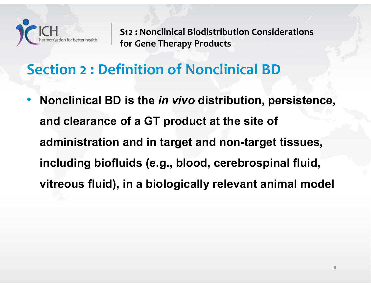

# Section 2 : Definition of Nonclinical BD

• Nonclinical Biodistribution Considerations<br>
• Section 2 : Definition of Nonclinical BD<br>
• Nonclinical BD is the *in vivo* distribution, persistence,<br>
and clearance of a GT product at the site of and clearance of a GT product at the site of administration and in target and non-target tissues, including biofluids (e.g., blood, cerebrospinal fluid, ection 2 : Definition of Nonclinical BD<br>Nonclinical BD is the *in vivo* distribution, persistence,<br>and clearance of a GT product at the site of<br>administration and in target and non-target tissues,<br>including biofluids (e.g.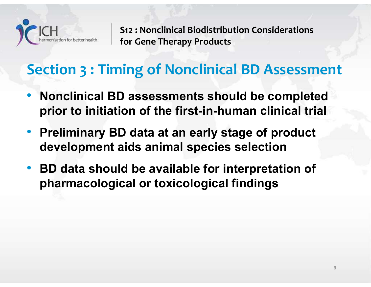

# Section 3 : Timing of Nonclinical BD Assessment

- Nonclinical BD assessments should be completed<br>
 Nonclinical BD assessments should be completed<br>
 Nonclinical BD assessments should be completed<br>
 The complete of the first-in-human clinical trial ICH<br>
FIRENT STREET STREET SURFAINING STATE STATE STATE STATE STATE STATE STATE STATE STATE STATE STATE STATE STATE IN MONORATOR STATE SHOULD be completed<br>
prior to initiation of the first-in-human clinical trial<br>
Prelimina ICH<br>
For Gene Therapy Products<br>
For Gene Therapy Products<br>
Cection 3 : Timing of Nonclinical BD Assessment<br>
Nonclinical BD assessments should be completed<br>
prior to initiation of the first-in-human clinical trial<br>
Prelimin
- Preliminary BD data at an early stage of product
- BD data should be available for interpretation of pharmacological or toxicological findings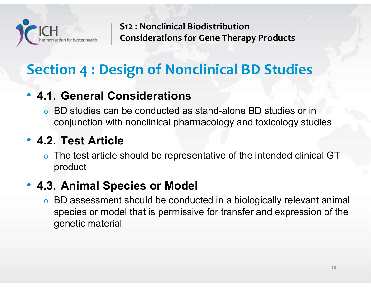

# Section 4 : Design of Nonclinical BD Studies

• 1.1. General Considerations of Nonclinical Biodistribution<br>
• 4.1. General Considerations<br>
• 4.1. General Considerations<br>
• BD studies can be conducted as stand-alone BD stopped<br>
• conjunction with nonclinical pharmacolo o BD studies can be conducted as stand-alone BD studies or in conjunction with nonclinical pharmacology and toxicology studies

Section 4 : Design of Nonclinical Biodist<br>
Section 4 : Design of Nonclin<br>
• 4.1. General Considerations<br>
• BD studies can be conducted as stand<br>
conjunction with nonclinical pharmace<br>
• 4.2. Test Article<br>
• The test articl o The test article should be representative of the intended clinical GT product

• 4.1. General Considerations<br>• 4.1. General Considerations<br>• BD studies can be conducted as stand-alor<br>• conjunction with nonclinical pharmacology<br>• 4.2. Test Article<br>• The test article should be representative of<br>• Prod o BD assessment should be conducted in a biologically relevant animal species or model that is permissive for transfer and expression of the genetic material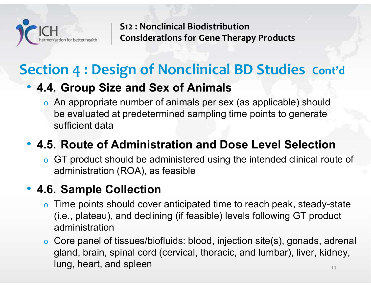

# Section 4 : Design of Nonclinical BD Studies Cont'd

FICH<br>
• 1.4. Group Size and Sex of Animals<br>
• 4.4. Group Size and Sex of Animals<br>
• An appropriate number of animals per sex (as applicable) show evaluated at predetermined sampling time points to gene o An appropriate number of animals per sex (as applicable) should S12 : Nonclinical Biodistribution<br>
Considerations for Gene Therapy Products<br> **ON 4 : Design of Nonclinical BD Studies** Cont'd<br> **Consideration Sex of Animals**<br>
An appropriate number of animals per sex (as applicable) should sufficient data **EXECUTE:** State heath Considerations for Gene Therapy Products<br> **ection 4 : Design of Nonclinical BD Studies** Cont'd<br> **• 4.4. Group Size and Sex of Animals**<br>
• An appropriate number of animals per sex (as applicable) shou • 4.4. Group Size and Sex of Animals<br>• 4.4. Group Size and Sex of Animals<br>• An appropriate number of animals per sex (as<br>be evaluated at predetermined sampling time<br>sufficient data<br>• 4.5. Route of Administration and Dose<br>

o GT product should be administered using the intended clinical route of administration (ROA), as feasible

- **4. Group Size and Sex of Animals**<br>
 An appropriate number of animals per sex (as applicable) should<br>
be evaluated at predetermined sampling time points to generate<br>
sufficient data<br> **.5. Route of Administration and Dose** (i.e., plateau), and declining (if feasible) levels following GT product administration
- $11$  and  $11$ sufficient data<br> **.5. Route of Administration and Dose Level Selection**<br>
o GT product should be administered using the intended clinical route of<br>
administration (ROA), as feasible<br> **.6. Sample Collection**<br>
o Time points s gland, brain, spinal cord (cervical, thoracic, and lumbar), liver, kidney, lung, heart, and spleen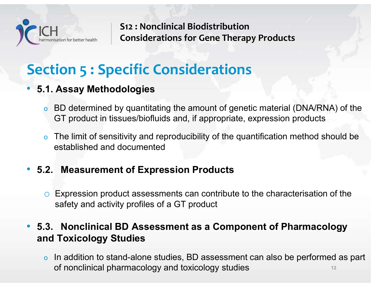

# Section 5 : Specific Considerations

## • 5.1. Assay Methodologies

- o BD determined by quantitating the amount of genetic material (DNA/RNA) of the GT product in tissues/biofluids and, if appropriate, expression products
- o The limit of sensitivity and reproducibility of the quantification method should be established and documented • 5.1. Assay Methodologies<br>• 5.1. Assay Methodologies<br>• BD determined by quantitating the amount of genetic material (DNA<br>• GT product in tissues/biofluids and, if appropriate, expression productors<br>• The limit of sensiti **1. Assay Methodologies**<br>
• BD determined by quantitating the amount of genetic material (DNA/RNA) of the<br>
GT product in tissues/biofluids and, if appropriate, expression products<br>
• The limit of sensitivity and reproduci Assay Methodologies<br>
BD determined by quantitating the amount of genetic material (DNA/RN<br>
GT product in tissues/biofluids and, if appropriate, expression products<br>
The limit of sensitivity and reproducibility of the quant

# • BD determined by quantitating the amount of genetic material (DNA/RNA) of the<br>
GT product in tissues/biofluids and, if appropriate, expression products<br>
• The limit of sensitivity and reproducibility of the quantificat and Toxicology Studies

12 o In addition to stand-alone studies, BD assessment can also be performed as part of nonclinical pharmacology and toxicology studies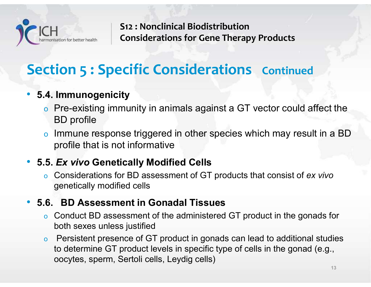

# **Section 5 : Specific Considerations Continued**

# • 5.4. Immunogenicity

- o Pre-existing immunity in animals against a GT vector could affect the BD profile • 5.4. Immunogenicity<br>
• Pre-existing immunity in animals against a GT vector could<br>
BD profile<br>
• Immune response triggered in other species which may res<br>
profile that is not informative<br>
• 5.5. Ex vivo Genetically Modif
- CH<br>
Considerations for Gene Therapy Products<br>
Ction 5 : Specific Considerations continued<br>
4. Immunogenicity<br>
The Fre-existing immunity in animals against a GT vector could affect the<br>
BD profile<br>
5. Immune response trigge profile that is not informative

# • 5.5. Ex vivo Genetically Modified Cells

Considerations for BD assessment of GT products that consist of ex vivo genetically modified cells

- o Conduct BD assessment of the administered GT product in the gonads for both sexes unless justified
- o Persistent presence of GT product in gonads can lead to additional studies to determine GT product levels in specific type of cells in the gonad (e.g., oocytes, sperm, Sertoli cells, Leydig cells)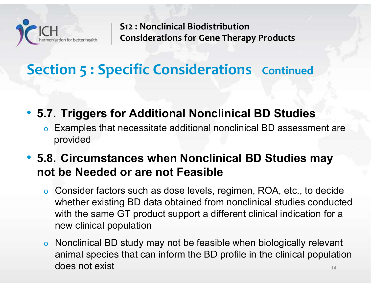

# **Section 5 : Specific Considerations Continued**

- 
- 5.7. Triggers for Additional Nonclinical BD Studies<br>• 5.7. Triggers for Additional Nonclinical BD Studies<br>• 5.7. Triggers for Additional Nonclinical BD Studies<br>• Examples that necessitate additional nonclinical BD assess CH<br>
Considerations for Gene Therapy Products<br>
Considerations for Gene Therapy Products<br>
Circles Considerations<br>
Considerations<br>
Considerations<br>
Considerations<br>
Considerations<br>
Considerations<br>
Considerations<br>
RD Studies<br>
Re provided
- 5.7. Triggers for Additional Nonclinical BD Studies<br>• 5.7. Triggers for Additional Nonclinical BD Studies<br>• Examples that necessitate additional nonclinical BD assessment are<br>• 5.8. Circumstances when Nonclinical BD Stud not be Needed or are not Feasible
	- CHOIT S: SPECTIC COTISIQET ATIONS CONTINUED<br>
	Triggers for Additional Nonclinical BD Studies<br>
	 Examples that necessitate additional nonclinical BD assessment are<br>
	provided<br> **8. Circumstances when Nonclinical BD Studies ma Triggers for Additional Nonclinical BD Studies**<br>Examples that necessitate additional nonclinical BD assessment are<br>provided<br>**Circumstances when Nonclinical BD Studies may**<br>be Needed or are not Feasible<br>Consider factors su **Triggers for Additional Nonclinical BD Studies**<br>Examples that necessitate additional nonclinical BD assessment are<br>provided<br>**Consider factors when Nonclinical BD Studies may**<br>**be Needed or are not Feasible**<br>Consider facto new clinical population <p>• Examples that necessitate additional nonclinical BD assessment are provided</p>\n<p><b>8. Circumstances when Nonclinical BD Studies may</b></p>\n<p><b>ot be Needed or are not Feasible</b></p>\n<p>• Consider factors such as dose levels, regimen, ROA, etc., to decide whether existing BD data obtained from nonclinical studies conducted with the same GT product support a different clinical indication for a new clinical population</p>\n<p>• Nonclinical BD study may not be feasible when biologically relevant animal species that can inform the BD profile in the clinical population does not exist</p>
	- 14 animal species that can inform the BD profile in the clinical population does not exist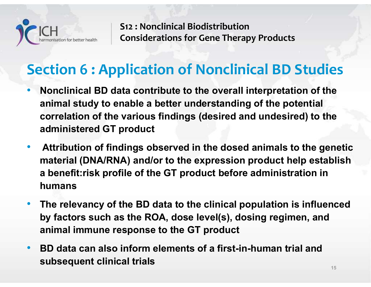

# Section 6 : Application of Nonclinical BD Studies

- Nonclinical BD data contribute to the overall interpretation of the S12 : Nonclinical Biodistribution<br>
Considerations for Gene Therapy Products<br> **animal study to enable a better understanding of the potential**<br>
Consideration of Nonclinical BD Studies<br>
Nonclinical BD data contribute to the CH<br>
S12 : Nonclinical Biodistribution<br>
Considerations for Gene Therapy Products<br> **Considerations of Considerations of Nonclinical BD Studies**<br>
Nonclinical BD data contribute to the overall interpretation of the<br>
animal stu administered GT product
- Attribution of findings observed in the dosed animals to the genetic material (DNA/RNA) and/or to the expression product help establish **Example 15 and 16 and 16 and 16 and 16 and 16 and 16 and 16 and 16 and 16 and 16 and 16 and 16 and 16 and 16 and 16 and 16 and 16 and 16 and 16 and 16 administered GT product Attribution of findings observed in the dosed** humans animal study to enable a better understanding of the potential<br>correlation of the various findings (desired and undesired) to the<br>administered GT product<br>Attribution of findings observed in the dosed animals to the genetic correlation of the various findings (desired and undesired) is<br>administered GT product<br>Attribution of findings observed in the dosed animals to the<br>material (DNA/RNA) and/or to the expression product help  $\epsilon$ <br>a benefit:ri
- The relevancy of the BD data to the clinical population is influenced
- BD data can also inform elements of a first-in-human trial and subsequent clinical trials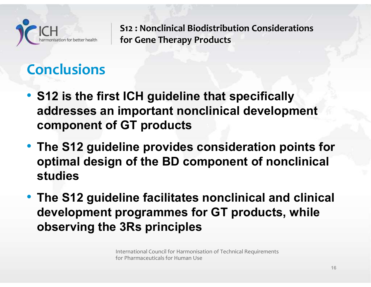

# **Conclusions**

- S12 is the first ICH guideline that specifically addresses an important nonclinical development component of GT products
- The S12 guideline provides consideration points for optimal design of the BD component of nonclinical studies
- The S12 guideline facilitates nonclinical and clinical S12 is the first ICH guideline that specifically<br>addresses an important nonclinical development<br>component of GT products<br>The S12 guideline provides consideration points for<br>optimal design of the BD component of nonclinical observing the 3Rs principles

International Council for Harmonisation of Technical Requirements for Pharmaceuticals for Human Use